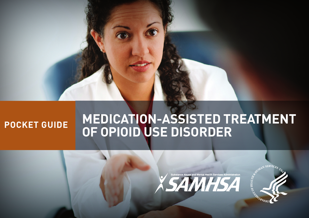

# **POCKET GUIDE MEDICATION-ASSISTED TREATMENT OF OPIOID USE DISORDER**



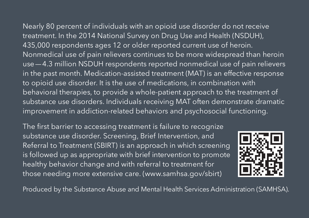Nearly 80 percent of individuals with an opioid use disorder do not receive treatment. In the 2014 National Survey on Drug Use and Health (NSDUH), 435,000 respondents ages 12 or older reported current use of heroin. Nonmedical use of pain relievers continues to be more widespread than heroin use—4.3 million NSDUH respondents reported nonmedical use of pain relievers in the past month. Medication-assisted treatment (MAT) is an effective response to opioid use disorder. It is the use of medications, in combination with behavioral therapies, to provide a whole-patient approach to the treatment of substance use disorders. Individuals receiving MAT often demonstrate dramatic improvement in addiction-related behaviors and psychosocial functioning.

 Referral to Treatment (SBIRT) is an approach in which screening is followed up as appropriate with brief intervention to promote The first barrier to accessing treatment is failure to recognize substance use disorder. Screening, Brief Intervention, and healthy behavior change and with referral to treatment for those needing more extensive care. (www.samhsa.gov/sbirt)



Produced by the Substance Abuse and Mental Health Services Administration (SAMHSA).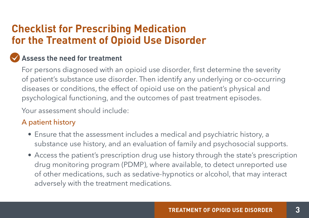# **Checklist for Prescribing Medication for the Treatment of Opioid Use Disorder**

# **Assess the need for treatment**

For persons diagnosed with an opioid use disorder, first determine the severity of patient's substance use disorder. Then identify any underlying or co-occurring diseases or conditions, the effect of opioid use on the patient's physical and psychological functioning, and the outcomes of past treatment episodes.

Your assessment should include:

### A patient history

- Ensure that the assessment includes a medical and psychiatric history, a substance use history, and an evaluation of family and psychosocial supports.
- Access the patient's prescription drug use history through the state's prescription drug monitoring program (PDMP), where available, to detect unreported use of other medications, such as sedative-hypnotics or alcohol, that may interact adversely with the treatment medications.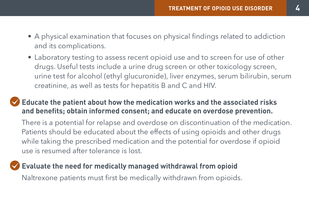- A physical examination that focuses on physical findings related to addiction and its complications.
- drugs. Useful tests include a urine drug screen or other toxicology screen, • Laboratory testing to assess recent opioid use and to screen for use of other urine test for alcohol (ethyl glucuronide), liver enzymes, serum bilirubin, serum creatinine, as well as tests for hepatitis B and C and HIV.

### **Educate the patient about how the medication works and the associated risks and benefits; obtain informed consent; and educate on overdose prevention.**

There is a potential for relapse and overdose on discontinuation of the medication. Patients should be educated about the effects of using opioids and other drugs while taking the prescribed medication and the potential for overdose if opioid use is resumed after tolerance is lost.

### **Evaluate the need for medically managed withdrawal from opioid**

Naltrexone patients must first be medically withdrawn from opioids.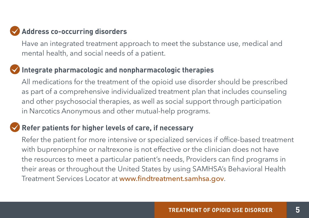# **Address co-occurring disorders**

Have an integrated treatment approach to meet the substance use, medical and mental health, and social needs of a patient.

# **Integrate pharmacologic and nonpharmacologic therapies**

 as part of a comprehensive individualized treatment plan that includes counseling All medications for the treatment of the opioid use disorder should be prescribed and other psychosocial therapies, as well as social support through participation in Narcotics Anonymous and other mutual-help programs.

### **Refer patients for higher levels of care, if necessary**

Refer the patient for more intensive or specialized services if office-based treatment with buprenorphine or naltrexone is not effective or the clinician does not have the resources to meet a particular patient's needs, Providers can find programs in their areas or throughout the United States by using SAMHSA's Behavioral Health Treatment Services Locator at www.findtreatment.samhsa.gov.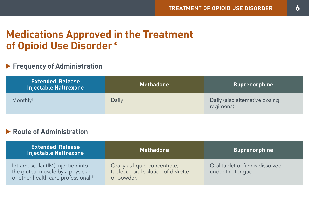# **Medications Approved in the Treatment of Opioid Use Disorder\***

#### **Frequency of Administration**

| <b>Extended Release</b><br><b>Injectable Naltrexone</b> | <b>Methadone</b> | <b>Buprenorphine</b>                        |
|---------------------------------------------------------|------------------|---------------------------------------------|
| Monthly <sup>t</sup>                                    | Daily            | Daily (also alternative dosing<br>regimens) |

#### **Route of Administration**

| <b>Extended Release</b><br><b>Injectable Naltrexone</b>                                                                   | <b>Methadone</b>                                                                   | <b>Buprenorphine</b>                                  |
|---------------------------------------------------------------------------------------------------------------------------|------------------------------------------------------------------------------------|-------------------------------------------------------|
| Intramuscular (IM) injection into<br>the gluteal muscle by a physician<br>or other health care professional. <sup>†</sup> | Orally as liquid concentrate,<br>tablet or oral solution of diskette<br>or powder. | Oral tablet or film is dissolved<br>under the tonque. |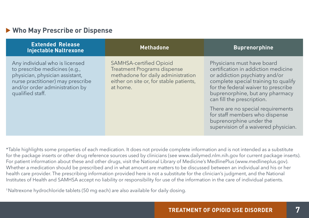#### **Who May Prescribe or Dispense**

| <b>Extended Release</b><br><b>Injectable Naltrexone</b>                                                                                                                                       | <b>Methadone</b>                                                                                                                                                  | <b>Buprenorphine</b>                                                                                                                                                                                                                                |
|-----------------------------------------------------------------------------------------------------------------------------------------------------------------------------------------------|-------------------------------------------------------------------------------------------------------------------------------------------------------------------|-----------------------------------------------------------------------------------------------------------------------------------------------------------------------------------------------------------------------------------------------------|
| Any individual who is licensed<br>to prescribe medicines (e.g.,<br>physician, physician assistant,<br>nurse practitioner) may prescribe<br>and/or order administration by<br>qualified staff. | <b>SAMHSA-certified Opioid</b><br><b>Treatment Programs dispense</b><br>methadone for daily administration<br>either on site or, for stable patients,<br>at home. | Physicians must have board<br>certification in addiction medicine<br>or addiction psychiatry and/or<br>complete special training to qualify<br>for the federal waiver to prescribe<br>buprenorphine, but any pharmacy<br>can fill the prescription. |
|                                                                                                                                                                                               |                                                                                                                                                                   | There are no special requirements<br>for staff members who dispense<br>buprenorphine under the<br>supervision of a waivered physician.                                                                                                              |

\*Table highlights some properties of each medication. It does not provide complete information and is not intended as a substitute for the package inserts or other drug reference sources used by clinicians (see www.dailymed.nlm.nih.gov for current package inserts). For patient information about these and other drugs, visit the National Library of Medicine's MedlinePlus (www.medlineplus.gov). Whether a medication should be prescribed and in what amount are matters to be discussed between an individual and his or her health care provider. The prescribing information provided here is not a substitute for the clinician's judgment, and the National Institutes of Health and SAMHSA accept no liability or responsibility for use of the information in the care of individual patients.

†Naltrexone hydrochloride tablets (50 mg each) are also available for daily dosing.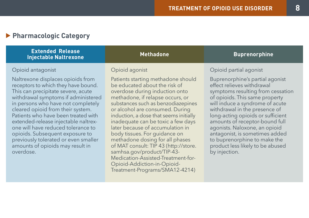### **Pharmacologic Category**

| <b>Extended Release</b><br><b>Injectable Naltrexone</b>                                                                                                                                                                                                                                                                                                                                                                                                                           | <b>Methadone</b>                                                                                                                                                                                                                                                                                                                                                                                                                                                                  | <b>Buprenorphine</b>                                                                                                                                                                                                                                                                                                                                                                                                                    |
|-----------------------------------------------------------------------------------------------------------------------------------------------------------------------------------------------------------------------------------------------------------------------------------------------------------------------------------------------------------------------------------------------------------------------------------------------------------------------------------|-----------------------------------------------------------------------------------------------------------------------------------------------------------------------------------------------------------------------------------------------------------------------------------------------------------------------------------------------------------------------------------------------------------------------------------------------------------------------------------|-----------------------------------------------------------------------------------------------------------------------------------------------------------------------------------------------------------------------------------------------------------------------------------------------------------------------------------------------------------------------------------------------------------------------------------------|
| Opioid antagonist                                                                                                                                                                                                                                                                                                                                                                                                                                                                 | Opioid agonist                                                                                                                                                                                                                                                                                                                                                                                                                                                                    | Opioid partial agonist                                                                                                                                                                                                                                                                                                                                                                                                                  |
| Naltrexone displaces opioids from<br>receptors to which they have bound.<br>This can precipitate severe, acute<br>withdrawal symptoms if administered<br>in persons who have not completely<br>cleared opioid from their system.<br>Patients who have been treated with<br>extended-release injectable naltrex-<br>one will have reduced tolerance to<br>opioids. Subsequent exposure to<br>previously tolerated or even smaller<br>amounts of opioids may result in<br>overdose. | Patients starting methadone should<br>be educated about the risk of<br>overdose during induction onto<br>methadone, if relapse occurs, or<br>substances such as benzodiazepines<br>or alcohol are consumed. During<br>induction, a dose that seems initially<br>inadequate can be toxic a few days<br>later because of accumulation in<br>body tissues. For quidance on<br>methadone dosing for all phases<br>of MAT consult: TIP 43 (http://store.<br>samhsa.gov/product/TIP-43- | Buprenorphine's partial agonist<br>effect relieves withdrawal<br>symptoms resulting from cessation<br>of opioids. This same property<br>will induce a syndrome of acute<br>withdrawal in the presence of<br>long-acting opioids or sufficient<br>amounts of receptor-bound full<br>agonists. Naloxone, an opioid<br>antagonist, is sometimes added<br>to buprenorphine to make the<br>product less likely to be abused<br>by injection. |

Medication-Assisted-Treatment-for-Opioid-Addiction-in-Opioid-[Treatment-Programs/SMA12-4214\)](http://store.samhsa.gov/product/TIP-43Medication-Assisted-Treatment-for-Opioid-Addiction-in-OpioidTreatment-Programs/SMA12-4214)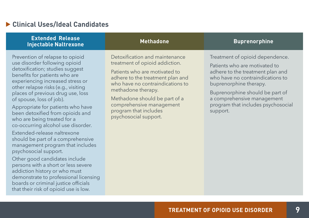#### **Clinical Uses/Ideal Candidates**

that their risk of opioid use is low.

| <b>Extended Release</b><br><b>Injectable Naltrexone</b>                                                                                                                                                                                                                                                                                                                                                                                                                                                                                                                                                                                                                                                                                                   | <b>Methadone</b>                                                                                                                                                                                                                                                                                               | <b>Buprenorphine</b>                                                                                                                                                                                                                                                                  |
|-----------------------------------------------------------------------------------------------------------------------------------------------------------------------------------------------------------------------------------------------------------------------------------------------------------------------------------------------------------------------------------------------------------------------------------------------------------------------------------------------------------------------------------------------------------------------------------------------------------------------------------------------------------------------------------------------------------------------------------------------------------|----------------------------------------------------------------------------------------------------------------------------------------------------------------------------------------------------------------------------------------------------------------------------------------------------------------|---------------------------------------------------------------------------------------------------------------------------------------------------------------------------------------------------------------------------------------------------------------------------------------|
| Prevention of relapse to opioid<br>use disorder following opioid<br>detoxification; studies suggest<br>benefits for patients who are<br>experiencing increased stress or<br>other relapse risks (e.g., visiting<br>places of previous drug use, loss<br>of spouse, loss of job).<br>Appropriate for patients who have<br>been detoxified from opioids and<br>who are being treated for a<br>co-occurring alcohol use disorder.<br>Extended-release naltrexone<br>should be part of a comprehensive<br>management program that includes<br>psychosocial support.<br>Other good candidates include<br>persons with a short or less severe<br>addiction history or who must<br>demonstrate to professional licensing<br>boards or criminal justice officials | Detoxification and maintenance<br>treatment of opioid addiction.<br>Patients who are motivated to<br>adhere to the treatment plan and<br>who have no contraindications to<br>methadone therapy.<br>Methadone should be part of a<br>comprehensive management<br>program that includes<br>psychosocial support. | Treatment of opioid dependence.<br>Patients who are motivated to<br>adhere to the treatment plan and<br>who have no contraindications to<br>buprenorphine therapy.<br>Buprenorphine should be part of<br>a comprehensive management<br>program that includes psychosocial<br>support. |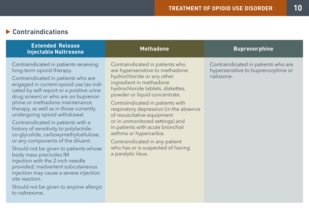#### **Contraindications**

| <b>Extended Release</b><br><b>Injectable Naltrexone</b>                                                                                                                                                                                                                                                                                                                                                                                                                                                                                                                                                                                                                                                                                                                                  | <b>Methadone</b>                                                                                                                                                                                                                                                                                                                                                                                                                                                                                            | <b>Buprenorphine</b>                                                                   |
|------------------------------------------------------------------------------------------------------------------------------------------------------------------------------------------------------------------------------------------------------------------------------------------------------------------------------------------------------------------------------------------------------------------------------------------------------------------------------------------------------------------------------------------------------------------------------------------------------------------------------------------------------------------------------------------------------------------------------------------------------------------------------------------|-------------------------------------------------------------------------------------------------------------------------------------------------------------------------------------------------------------------------------------------------------------------------------------------------------------------------------------------------------------------------------------------------------------------------------------------------------------------------------------------------------------|----------------------------------------------------------------------------------------|
| Contraindicated in patients receiving<br>long-term opioid therapy.<br>Contraindicated in patients who are<br>engaged in current opioid use (as indi-<br>cated by self-report or a positive urine<br>drug screen) or who are on buprenor-<br>phine or methadone maintenance<br>therapy, as well as in those currently<br>undergoing opioid withdrawal.<br>Contraindicated in patients with a<br>history of sensitivity to polylactide-<br>co-glycolide, carboxymethylcellulose,<br>or any components of the diluent.<br>Should not be given to patients whose<br>body mass precludes IM<br>injection with the 2-inch needle<br>provided; inadvertent subcutaneous<br>injection may cause a severe injection<br>site reaction.<br>Should not be given to anyone allergic<br>to naltrexone. | Contraindicated in patients who<br>are hypersensitive to methadone<br>hydrochloride or any other<br>ingredient in methadone<br>hydrochloride tablets, diskettes,<br>powder or liquid concentrate.<br>Contraindicated in patients with<br>respiratory depression (in the absence<br>of resuscitative equipment<br>or in unmonitored settings) and<br>in patients with acute bronchial<br>asthma or hypercarbia.<br>Contraindicated in any patient<br>who has or is suspected of having<br>a paralytic ileus. | Contraindicated in patients who are<br>hypersensitive to buprenorphine or<br>naloxone. |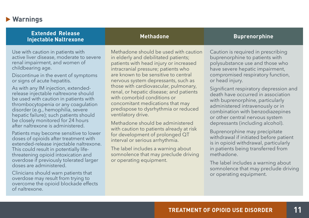#### **Warnings**

| <b>Extended Release</b><br><b>Injectable Naltrexone</b>                                                                                                                                                                                                                                                                                                                                                                                                                                                                                                                                                                                                                                                                                                                                                                                                                                                                                                            | <b>Methadone</b>                                                                                                                                                                                                                                                                                                                                                                                                                                                                                                                                                                                                                                                                                                                  | <b>Buprenorphine</b>                                                                                                                                                                                                                                                                                                                                                                                                                                                                                                                                                                                                                                                                                                                                   |
|--------------------------------------------------------------------------------------------------------------------------------------------------------------------------------------------------------------------------------------------------------------------------------------------------------------------------------------------------------------------------------------------------------------------------------------------------------------------------------------------------------------------------------------------------------------------------------------------------------------------------------------------------------------------------------------------------------------------------------------------------------------------------------------------------------------------------------------------------------------------------------------------------------------------------------------------------------------------|-----------------------------------------------------------------------------------------------------------------------------------------------------------------------------------------------------------------------------------------------------------------------------------------------------------------------------------------------------------------------------------------------------------------------------------------------------------------------------------------------------------------------------------------------------------------------------------------------------------------------------------------------------------------------------------------------------------------------------------|--------------------------------------------------------------------------------------------------------------------------------------------------------------------------------------------------------------------------------------------------------------------------------------------------------------------------------------------------------------------------------------------------------------------------------------------------------------------------------------------------------------------------------------------------------------------------------------------------------------------------------------------------------------------------------------------------------------------------------------------------------|
| Use with caution in patients with<br>active liver disease, moderate to severe<br>renal impairment, and women of<br>childbearing age.<br>Discontinue in the event of symptoms<br>or signs of acute hepatitis.<br>As with any IM injection, extended-<br>release injectable naltrexone should<br>be used with caution in patients with<br>thrombocytopenia or any coagulation<br>disorder (e.g., hemophilia, severe<br>hepatic failure); such patients should<br>be closely monitored for 24 hours<br>after naltrexone is administered.<br>Patients may become sensitive to lower<br>doses of opioids after treatment with<br>extended-release injectable naltrexone.<br>This could result in potentially life-<br>threatening opioid intoxication and<br>overdose if previously tolerated larger<br>doses are administered.<br>Clinicians should warn patients that<br>overdose may result from trying to<br>overcome the opioid blockade effects<br>of naltrexone. | Methadone should be used with caution<br>in elderly and debilitated patients;<br>patients with head injury or increased<br>intracranial pressure; patients who<br>are known to be sensitive to central<br>nervous system depressants, such as<br>those with cardiovascular, pulmonary,<br>renal, or hepatic disease; and patients<br>with comorbid conditions or<br>concomitant medications that may<br>predispose to dysrhythmia or reduced<br>ventilatory drive.<br>Methadone should be administered<br>with caution to patients already at risk<br>for development of prolonged QT<br>interval or serious arrhythmia.<br>The label includes a warning about<br>somnolence that may preclude driving<br>or operating equipment. | Caution is required in prescribing<br>buprenorphine to patients with<br>polysubstance use and those who<br>have severe hepatic impairment,<br>compromised respiratory function,<br>or head injury.<br>Significant respiratory depression and<br>death have occurred in association<br>with buprenorphine, particularly<br>administered intravenously or in<br>combination with benzodiazepines<br>or other central nervous system<br>depressants (including alcohol).<br>Buprenorphine may precipitate<br>withdrawal if initiated before patient<br>is in opioid withdrawal, particularly<br>in patients being transferred from<br>methadone.<br>The label includes a warning about<br>somnolence that may preclude driving<br>or operating equipment. |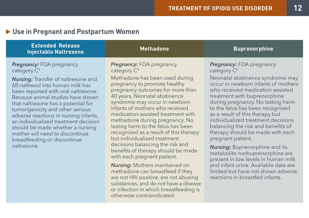#### **Use in Pregnant and Postpartum Women**

| <b>Extended Release</b><br><b>Injectable Naltrexone</b>                                                                                                                                                                                                                                                                                                                                                                                                                                           | <b>Methadone</b>                                                                                                                                                                                                                                                                                                                                                                                                                                                                                                                                              | <b>Buprenorphine</b>                                                                                                                                                                                                                                                                                                                                                                                                                                                                                                                                                          |
|---------------------------------------------------------------------------------------------------------------------------------------------------------------------------------------------------------------------------------------------------------------------------------------------------------------------------------------------------------------------------------------------------------------------------------------------------------------------------------------------------|---------------------------------------------------------------------------------------------------------------------------------------------------------------------------------------------------------------------------------------------------------------------------------------------------------------------------------------------------------------------------------------------------------------------------------------------------------------------------------------------------------------------------------------------------------------|-------------------------------------------------------------------------------------------------------------------------------------------------------------------------------------------------------------------------------------------------------------------------------------------------------------------------------------------------------------------------------------------------------------------------------------------------------------------------------------------------------------------------------------------------------------------------------|
| <b>Pregnancy: FDA</b> pregnancy<br>category $C^*$<br><b>Nursing:</b> Transfer of naltrexone and<br>6B-naltrexol into human milk has<br>been reported with oral naltrexone.<br>Because animal studies have shown<br>that naltrexone has a potential for<br>tumorigenicity and other serious<br>adverse reactions in nursing infants,<br>an individualized treatment decision<br>should be made whether a nursing<br>mother will need to discontinue<br>breastfeeding or discontinue<br>naltrexone. | <b>Pregnancy: FDA</b> pregnancy<br>category $C^*$<br>Methadone has been used during<br>pregnancy to promote healthy<br>pregnancy outcomes for more than<br>40 years. Neonatal abstinence<br>syndrome may occur in newborn<br>infants of mothers who received<br>medication-assisted treatment with<br>methadone during pregnancy. No<br>lasting harm to the fetus has been<br>recognized as a result of this therapy<br>but individualized treatment<br>decisions balancing the risk and<br>benefits of therapy should be made<br>with each pregnant patient. | <b>Pregnancy:</b> FDA pregnancy<br>category $C^{\ddagger}$<br>Neonatal abstinence syndrome may<br>occur in newborn infants of mothers<br>who received medication-assisted<br>treatment with buprenorphine<br>during pregnancy. No lasting harm<br>to the fetus has been recognized<br>as a result of this therapy but<br>individualized treatment decisions<br>balancing the risk and benefits of<br>therapy should be made with each<br>pregnant patient.<br><b>Nursing:</b> Buprenorphine and its<br>metabolite norbuprenorphine are<br>procent in low loyals in human milk |

*Nursing:* Mothers maintained on methadone can breastfeed if they are not HIV positive, are not abusing substances, and do not have a disease or infection in which breastfeeding is otherwise contraindicated.

present in low levels in human milk and infant urine. Available data are limited but have not shown adverse reactions in breastfed infants.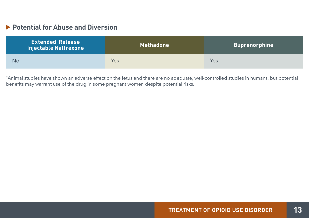#### **Potential for Abuse and Diversion**

| <b>Extended Release</b><br><b>Injectable Naltrexone</b> | Methadone | <b>Buprenorphine</b> |
|---------------------------------------------------------|-----------|----------------------|
| No                                                      | Yes       | Yes                  |

‡ Animal studies have shown an adverse effect on the fetus and there are no adequate, well-controlled studies in humans, but potential benefits may warrant use of the drug in some pregnant women despite potential risks.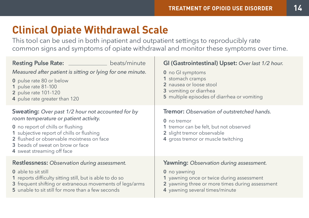# **Clinical Opiate Withdrawal Scale**

This tool can be used in both inpatient and outpatient settings to reproducibly rate common signs and symptoms of opiate withdrawal and monitor these symptoms over time.

| <b>Resting Pulse Rate:</b><br>beats/minute<br>Measured after patient is sitting or lying for one minute.<br>0 pulse rate 80 or below<br>1 pulse rate 81-100<br>2 pulse rate 101-120<br>4 pulse rate greater than 120                                                                               | GI (Gastrointestinal) Upset: Over last 1/2 hour.<br>0 no GI symptoms<br>1 stomach cramps<br>2 nausea or loose stool<br>3 vomiting or diarrhea<br>5 multiple episodes of diarrhea or vomiting     |
|----------------------------------------------------------------------------------------------------------------------------------------------------------------------------------------------------------------------------------------------------------------------------------------------------|--------------------------------------------------------------------------------------------------------------------------------------------------------------------------------------------------|
| Sweating: Over past 1/2 hour not accounted for by<br>room temperature or patient activity.<br><b>0</b> no report of chills or flushing<br>1 subjective report of chills or flushing<br>2 flushed or observable moistness on face<br>3 beads of sweat on brow or face<br>4 sweat streaming off face | <b>Tremor:</b> Observation of outstretched hands.<br>$0$ no tremor<br>1 tremor can be felt, but not observed<br>2 slight tremor observable<br>4 gross tremor or muscle twitching                 |
| <b>Restlessness:</b> Observation during assessment.<br>0 able to sit still<br>1 reports difficulty sitting still, but is able to do so<br>3 frequent shifting or extraneous movements of legs/arms<br>5 unable to sit still for more than a few seconds                                            | <b>Yawning:</b> Observation during assessment.<br>0 no yawning<br>1 yawning once or twice during assessment<br>2 yawning three or more times during assessment<br>4 yawning several times/minute |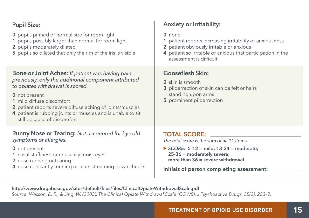| <b>Pupil Size:</b>                                                                                                                                                                                                                                                                                                                                          | <b>Anxiety or Irritability:</b>                                                                                                                                                                                                   |
|-------------------------------------------------------------------------------------------------------------------------------------------------------------------------------------------------------------------------------------------------------------------------------------------------------------------------------------------------------------|-----------------------------------------------------------------------------------------------------------------------------------------------------------------------------------------------------------------------------------|
| <b>0</b> pupils pinned or normal size for room light<br>1 pupils possibly larger than normal for room light<br>2 pupils moderately dilated<br>5 pupils so dilated that only the rim of the iris is visible                                                                                                                                                  | $0$ none<br>1 patient reports increasing irritability or anxiousness<br>2 patient obviously irritable or anxious<br>4 patient so irritable or anxious that participation in the<br>assessment is difficult                        |
| <b>Bone or Joint Aches: If patient was having pain</b><br>previously, only the additional component attributed<br>to opiates withdrawal is scored.<br>0 not present<br>1 mild diffuse discomfort<br>2 patient reports severe diffuse aching of joints/muscles<br>4 patient is rubbing joints or muscles and is unable to sit<br>still because of discomfort | <b>Gooseflesh Skin:</b><br>0 skin is smooth<br>3 piloerrection of skin can be felt or hairs<br>standing upon arms<br>5 prominent piloerrection                                                                                    |
| <b>Runny Nose or Tearing: Not accounted for by cold</b><br>symptoms or allergies.<br>0 not present<br>1 nasal stuffiness or unusually moist eyes<br>2 nose running or tearing<br>4 nose constantly running or tears streaming down cheeks                                                                                                                   | <b>TOTAL SCORE:</b><br>The total score is the sum of all 11 items.<br>SCORE: $5-12 = mid$ ; $13-24 = moderate$ ;<br>25-36 = moderately severe;<br>more than $36$ = severe withdrawal<br>Initials of person completing assessment: |

 **http://www.drugabuse.gov/sites/default/files/files/ClinicalOpiateWithdrawalScale.pdf**   *Source: Wesson, D. R., & Ling, W. (2003). The Clinical Opiate Withdrawal Scale (COWS). J Psychoactive Drugs, 35(2), 253–9.*